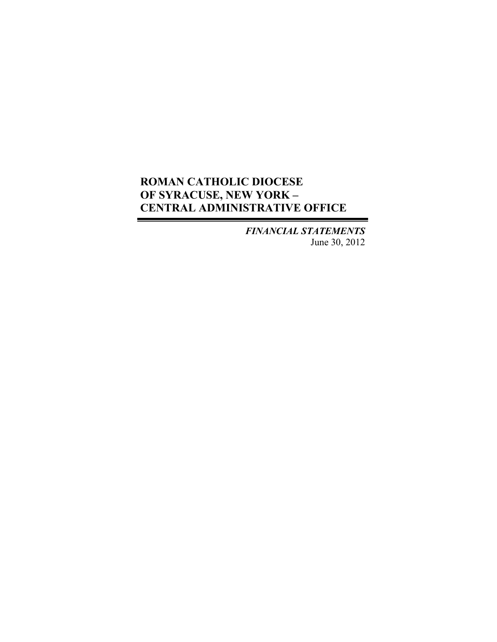*FINANCIAL STATEMENTS* June 30, 2012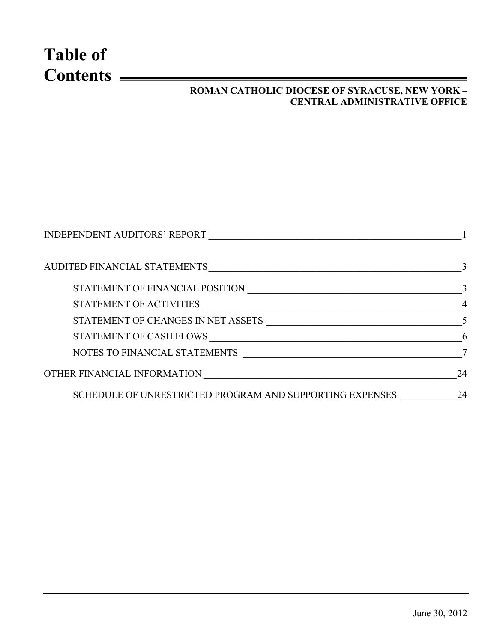# **Table of Contents**

## **ROMAN CATHOLIC DIOCESE OF SYRACUSE, NEW YORK – CENTRAL ADMINISTRATIVE OFFICE**

| <b>INDEPENDENT AUDITORS' REPORT</b>                                                                                                              |    |
|--------------------------------------------------------------------------------------------------------------------------------------------------|----|
| AUDITED FINANCIAL STATEMENTS                                                                                                                     | 3  |
| STATEMENT OF FINANCIAL POSITION                                                                                                                  |    |
| STATEMENT OF ACTIVITIES<br><u> 1990 - Johann John Stoff, deutscher Stoff, der Stoff, der Stoff, der Stoff, der Stoff, der Stoff, der Stoff, </u> |    |
| STATEMENT OF CHANGES IN NET ASSETS<br><u> 1989 - Johann Barbara, martxa alemaniar a</u>                                                          |    |
| STATEMENT OF CASH FLOWS                                                                                                                          | 6  |
| NOTES TO FINANCIAL STATEMENTS                                                                                                                    |    |
| OTHER FINANCIAL INFORMATION                                                                                                                      | 24 |
| SCHEDULE OF UNRESTRICTED PROGRAM AND SUPPORTING EXPENSES                                                                                         | 24 |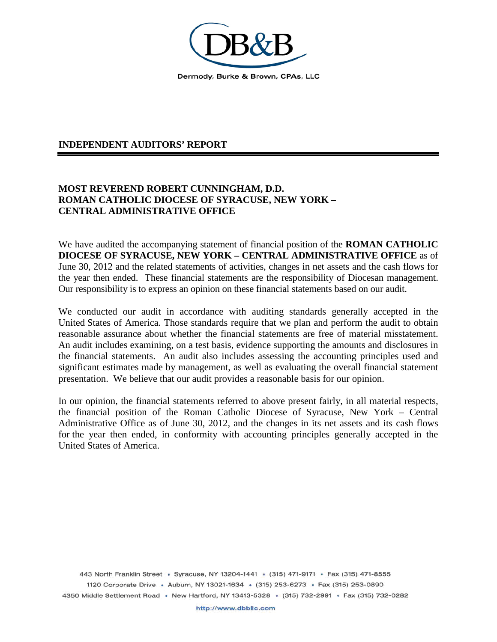

#### **INDEPENDENT AUDITORS' REPORT**

#### **MOST REVEREND ROBERT CUNNINGHAM, D.D. ROMAN CATHOLIC DIOCESE OF SYRACUSE, NEW YORK – CENTRAL ADMINISTRATIVE OFFICE**

We have audited the accompanying statement of financial position of the **ROMAN CATHOLIC DIOCESE OF SYRACUSE, NEW YORK – CENTRAL ADMINISTRATIVE OFFICE** as of June 30, 2012 and the related statements of activities, changes in net assets and the cash flows for the year then ended. These financial statements are the responsibility of Diocesan management. Our responsibility is to express an opinion on these financial statements based on our audit.

We conducted our audit in accordance with auditing standards generally accepted in the United States of America. Those standards require that we plan and perform the audit to obtain reasonable assurance about whether the financial statements are free of material misstatement. An audit includes examining, on a test basis, evidence supporting the amounts and disclosures in the financial statements. An audit also includes assessing the accounting principles used and significant estimates made by management, as well as evaluating the overall financial statement presentation. We believe that our audit provides a reasonable basis for our opinion.

In our opinion, the financial statements referred to above present fairly, in all material respects, the financial position of the Roman Catholic Diocese of Syracuse, New York – Central Administrative Office as of June 30, 2012, and the changes in its net assets and its cash flows for the year then ended, in conformity with accounting principles generally accepted in the United States of America.

443 North Franklin Street · Syracuse, NY 13204-1441 · (315) 471-9171 · Fax (315) 471-8555 1120 Corporate Drive · Auburn, NY 13021-1634 · (315) 253-6273 · Fax (315) 253-0890 4350 Middle Settlement Road · New Hartford, NY 13413-5328 · (315) 732-2991 · Fax (315) 732-0282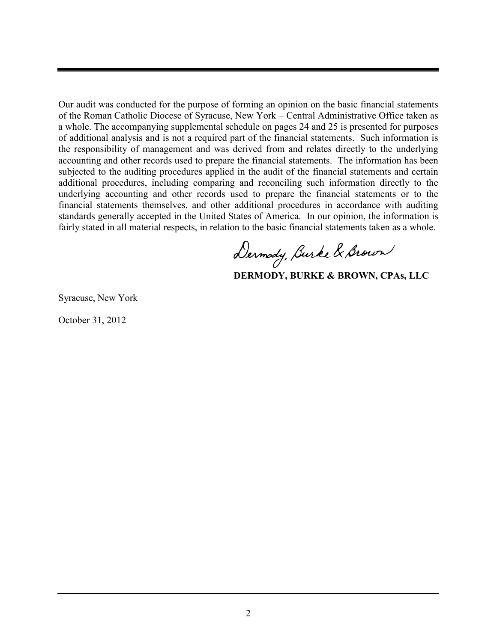Our audit was conducted for the purpose of forming an opinion on the basic financial statements of the Roman Catholic Diocese of Syracuse, New York – Central Administrative Office taken as a whole. The accompanying supplemental schedule on pages 24 and 25 is presented for purposes of additional analysis and is not a required part of the financial statements. Such information is the responsibility of management and was derived from and relates directly to the underlying accounting and other records used to prepare the financial statements. The information has been subjected to the auditing procedures applied in the audit of the financial statements and certain additional procedures, including comparing and reconciling such information directly to the underlying accounting and other records used to prepare the financial statements or to the financial statements themselves, and other additional procedures in accordance with auditing standards generally accepted in the United States of America. In our opinion, the information is fairly stated in all material respects, in relation to the basic financial statements taken a s a whole.

Dermody, Burke & Brown

**DERMODY, BURKE & BROWN, CPAs, LLC**

Syracuse, New York

October 31, 2012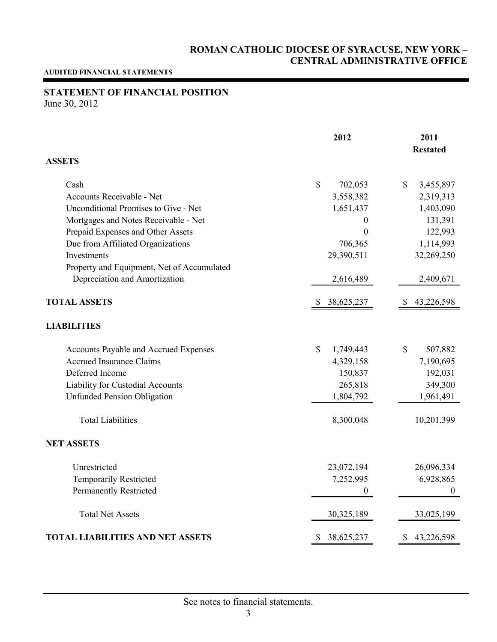#### **AUDITED FINANCIAL STATEMENTS**

## **STATEMENT OF FINANCIAL POSITION**

June 30, 2012

|                                            | 2012                       | 2011             |
|--------------------------------------------|----------------------------|------------------|
|                                            |                            | <b>Restated</b>  |
| <b>ASSETS</b>                              |                            |                  |
| Cash                                       | $\mathcal{S}$<br>702,053   | \$<br>3,455,897  |
| Accounts Receivable - Net                  | 3,558,382                  | 2,319,313        |
| Unconditional Promises to Give - Net       | 1,651,437                  | 1,403,090        |
| Mortgages and Notes Receivable - Net       | $\theta$                   | 131,391          |
| Prepaid Expenses and Other Assets          | $\mathbf{0}$               | 122,993          |
| Due from Affiliated Organizations          | 706,365                    | 1,114,993        |
| Investments                                | 29,390,511                 | 32,269,250       |
| Property and Equipment, Net of Accumulated |                            |                  |
| Depreciation and Amortization              | 2,616,489                  | 2,409,671        |
| <b>TOTAL ASSETS</b>                        | 38,625,237<br><sup>8</sup> | 43,226,598       |
| <b>LIABILITIES</b>                         |                            |                  |
| Accounts Payable and Accrued Expenses      | $\mathbb{S}$<br>1,749,443  | \$<br>507,882    |
| <b>Accrued Insurance Claims</b>            | 4,329,158                  | 7,190,695        |
| Deferred Income                            | 150,837                    | 192,031          |
| Liability for Custodial Accounts           | 265,818                    | 349,300          |
| <b>Unfunded Pension Obligation</b>         | 1,804,792                  | 1,961,491        |
| <b>Total Liabilities</b>                   | 8,300,048                  | 10,201,399       |
| <b>NET ASSETS</b>                          |                            |                  |
| Unrestricted                               | 23,072,194                 | 26,096,334       |
| <b>Temporarily Restricted</b>              | 7,252,995                  | 6,928,865        |
| <b>Permanently Restricted</b>              | $\theta$                   | 0                |
| <b>Total Net Assets</b>                    | 30,325,189                 | 33,025,199       |
| <b>TOTAL LIABILITIES AND NET ASSETS</b>    | 38,625,237<br>S            | 43,226,598<br>\$ |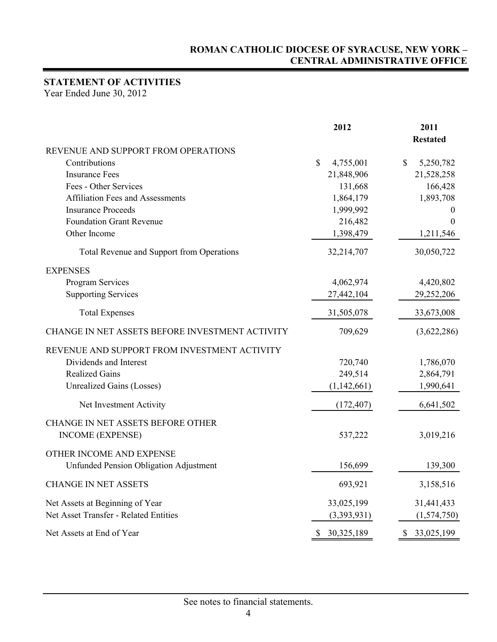## **STATEMENT OF ACTIVITIES**

Year Ended June 30, 2012

|                                                              | 2012                       | 2011                       |
|--------------------------------------------------------------|----------------------------|----------------------------|
|                                                              |                            | <b>Restated</b>            |
| REVENUE AND SUPPORT FROM OPERATIONS<br>Contributions         | $\mathbb{S}$               | $\mathbb{S}$               |
| <b>Insurance Fees</b>                                        | 4,755,001<br>21,848,906    | 5,250,782<br>21,528,258    |
| Fees - Other Services                                        | 131,668                    | 166,428                    |
| <b>Affiliation Fees and Assessments</b>                      | 1,864,179                  | 1,893,708                  |
| <b>Insurance Proceeds</b>                                    | 1,999,992                  | 0                          |
| <b>Foundation Grant Revenue</b>                              | 216,482                    | $\boldsymbol{0}$           |
| Other Income                                                 | 1,398,479                  | 1,211,546                  |
|                                                              |                            |                            |
| Total Revenue and Support from Operations                    | 32,214,707                 | 30,050,722                 |
| <b>EXPENSES</b>                                              |                            |                            |
| Program Services                                             | 4,062,974                  | 4,420,802                  |
| <b>Supporting Services</b>                                   | 27,442,104                 | 29,252,206                 |
| <b>Total Expenses</b>                                        | 31,505,078                 | 33,673,008                 |
| CHANGE IN NET ASSETS BEFORE INVESTMENT ACTIVITY              | 709,629                    | (3,622,286)                |
| REVENUE AND SUPPORT FROM INVESTMENT ACTIVITY                 |                            |                            |
| Dividends and Interest                                       | 720,740                    | 1,786,070                  |
| <b>Realized Gains</b>                                        | 249,514                    | 2,864,791                  |
| <b>Unrealized Gains (Losses)</b>                             | (1,142,661)                | 1,990,641                  |
| Net Investment Activity                                      | (172, 407)                 | 6,641,502                  |
| CHANGE IN NET ASSETS BEFORE OTHER<br><b>INCOME (EXPENSE)</b> | 537,222                    | 3,019,216                  |
| OTHER INCOME AND EXPENSE                                     |                            |                            |
| <b>Unfunded Pension Obligation Adjustment</b>                | 156,699                    | 139,300                    |
| <b>CHANGE IN NET ASSETS</b>                                  | 693,921                    | 3,158,516                  |
| Net Assets at Beginning of Year                              | 33,025,199                 | 31,441,433                 |
| Net Asset Transfer - Related Entities                        | (3,393,931)                | (1,574,750)                |
| Net Assets at End of Year                                    | $\mathbb{S}$<br>30,325,189 | $\mathbb{S}$<br>33,025,199 |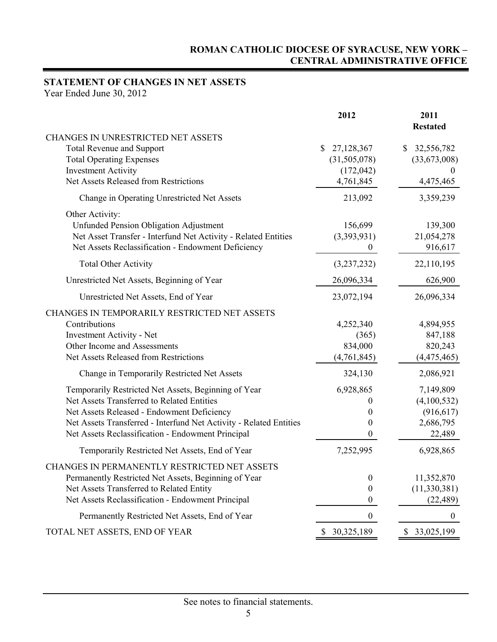## **STATEMENT OF CHANGES IN NET ASSETS**

Year Ended June 30, 2012

|                                                                    | 2012             | 2011<br><b>Restated</b>    |
|--------------------------------------------------------------------|------------------|----------------------------|
| <b>CHANGES IN UNRESTRICTED NET ASSETS</b>                          |                  |                            |
| <b>Total Revenue and Support</b>                                   | \$<br>27,128,367 | $\mathbb{S}$<br>32,556,782 |
| <b>Total Operating Expenses</b>                                    | (31, 505, 078)   | (33,673,008)               |
| <b>Investment Activity</b>                                         | (172, 042)       | $\theta$                   |
| Net Assets Released from Restrictions                              | 4,761,845        | 4,475,465                  |
| Change in Operating Unrestricted Net Assets                        | 213,092          | 3,359,239                  |
| Other Activity:                                                    |                  |                            |
| <b>Unfunded Pension Obligation Adjustment</b>                      | 156,699          | 139,300                    |
| Net Asset Transfer - Interfund Net Activity - Related Entities     | (3,393,931)      | 21,054,278                 |
| Net Assets Reclassification - Endowment Deficiency                 | 0                | 916,617                    |
| <b>Total Other Activity</b>                                        | (3,237,232)      | 22,110,195                 |
| Unrestricted Net Assets, Beginning of Year                         | 26,096,334       | 626,900                    |
| Unrestricted Net Assets, End of Year                               | 23,072,194       | 26,096,334                 |
| CHANGES IN TEMPORARILY RESTRICTED NET ASSETS                       |                  |                            |
| Contributions                                                      | 4,252,340        | 4,894,955                  |
| <b>Investment Activity - Net</b>                                   | (365)            | 847,188                    |
| Other Income and Assessments                                       | 834,000          | 820,243                    |
| Net Assets Released from Restrictions                              | (4,761,845)      | (4,475,465)                |
| Change in Temporarily Restricted Net Assets                        | 324,130          | 2,086,921                  |
| Temporarily Restricted Net Assets, Beginning of Year               | 6,928,865        | 7,149,809                  |
| Net Assets Transferred to Related Entities                         | $\theta$         | (4,100,532)                |
| Net Assets Released - Endowment Deficiency                         | 0                | (916, 617)                 |
| Net Assets Transferred - Interfund Net Activity - Related Entities | $\theta$         | 2,686,795                  |
| Net Assets Reclassification - Endowment Principal                  | $\boldsymbol{0}$ | 22,489                     |
| Temporarily Restricted Net Assets, End of Year                     | 7,252,995        | 6,928,865                  |
| CHANGES IN PERMANENTLY RESTRICTED NET ASSETS                       |                  |                            |
| Permanently Restricted Net Assets, Beginning of Year               | $\boldsymbol{0}$ | 11,352,870                 |
| Net Assets Transferred to Related Entity                           | $\boldsymbol{0}$ | (11, 330, 381)             |
| Net Assets Reclassification - Endowment Principal                  | $\boldsymbol{0}$ | (22, 489)                  |
| Permanently Restricted Net Assets, End of Year                     | $\boldsymbol{0}$ | $\boldsymbol{0}$           |
| TOTAL NET ASSETS, END OF YEAR                                      | \$30,325,189     | \$33,025,199               |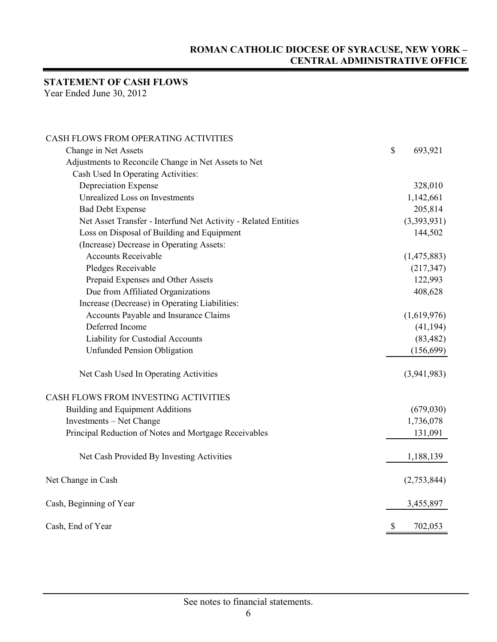## **STATEMENT OF CASH FLOWS**

Year Ended June 30, 2012

| CASH FLOWS FROM OPERATING ACTIVITIES                           |                           |             |
|----------------------------------------------------------------|---------------------------|-------------|
| Change in Net Assets                                           | $\boldsymbol{\mathsf{S}}$ | 693,921     |
| Adjustments to Reconcile Change in Net Assets to Net           |                           |             |
| Cash Used In Operating Activities:                             |                           |             |
| Depreciation Expense                                           |                           | 328,010     |
| <b>Unrealized Loss on Investments</b>                          |                           | 1,142,661   |
| <b>Bad Debt Expense</b>                                        |                           | 205,814     |
| Net Asset Transfer - Interfund Net Activity - Related Entities |                           | (3,393,931) |
| Loss on Disposal of Building and Equipment                     |                           | 144,502     |
| (Increase) Decrease in Operating Assets:                       |                           |             |
| <b>Accounts Receivable</b>                                     |                           | (1,475,883) |
| Pledges Receivable                                             |                           | (217, 347)  |
| Prepaid Expenses and Other Assets                              |                           | 122,993     |
| Due from Affiliated Organizations                              |                           | 408,628     |
| Increase (Decrease) in Operating Liabilities:                  |                           |             |
| Accounts Payable and Insurance Claims                          |                           | (1,619,976) |
| Deferred Income                                                |                           | (41, 194)   |
| Liability for Custodial Accounts                               |                           | (83, 482)   |
| <b>Unfunded Pension Obligation</b>                             |                           | (156, 699)  |
| Net Cash Used In Operating Activities                          |                           | (3,941,983) |
| CASH FLOWS FROM INVESTING ACTIVITIES                           |                           |             |
| <b>Building and Equipment Additions</b>                        |                           | (679, 030)  |
| Investments - Net Change                                       |                           | 1,736,078   |
| Principal Reduction of Notes and Mortgage Receivables          |                           | 131,091     |
| Net Cash Provided By Investing Activities                      |                           | 1,188,139   |
| Net Change in Cash                                             |                           | (2,753,844) |
| Cash, Beginning of Year                                        |                           | 3,455,897   |
| Cash, End of Year                                              | \$                        | 702,053     |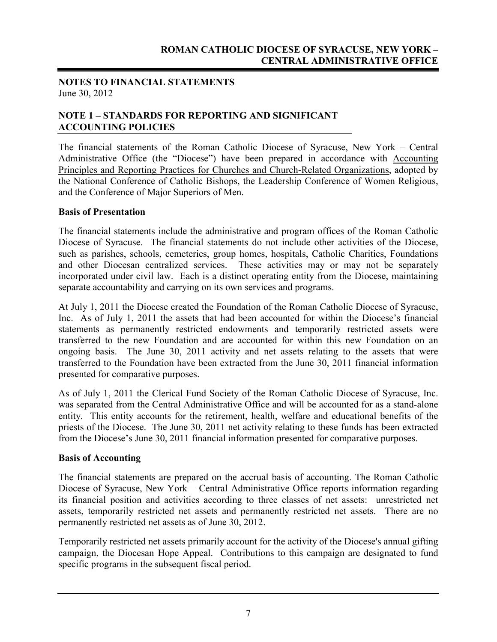#### **NOTES TO FINANCIAL STATEMENTS** June 30, 2012

#### **NOTE 1 – STANDARDS FOR REPORTING AND SIGNIFICANT ACCOUNTING POLICIES**

The financial statements of the Roman Catholic Diocese of Syracuse, New York – Central Administrative Office (the "Diocese") have been prepared in accordance with Accounting Principles and Reporting Practices for Churches and Church-Related Organizations, adopted by the National Conference of Catholic Bishops, the Leadership Conference of Women Religious, and the Conference of Major Superiors of Men.

#### **Basis of Presentation**

The financial statements include the administrative and program offices of the Roman Catholic Diocese of Syracuse. The financial statements do not include other activities of the Diocese, such as parishes, schools, cemeteries, group homes, hospitals, Catholic Charities, Foundations and other Diocesan centralized services. These activities may or may not be separately incorporated under civil law. Each is a distinct operating entity from the Diocese, maintaining separate accountability and carrying on its own services and programs.

At July 1, 2011 the Diocese created the Foundation of the Roman Catholic Diocese of Syracuse, Inc. As of July 1, 2011 the assets that had been accounted for within the Diocese's financial statements as permanently restricted endowments and temporarily restricted assets were transferred to the new Foundation and are accounted for within this new Foundation on an ongoing basis. The June 30, 2011 activity and net assets relating to the assets that were transferred to the Foundation have been extracted from the June 30, 2011 financial information presented for comparative purposes.

As of July 1, 2011 the Clerical Fund Society of the Roman Catholic Diocese of Syracuse, Inc. was separated from the Central Administrative Office and will be accounted for as a stand-alone entity. This entity accounts for the retirement, health, welfare and educational benefits of the priests of the Diocese. The June 30, 2011 net activity relating to these funds has been extracted from the Diocese's June 30, 2011 financial information presented for comparative purposes.

#### **Basis of Accounting**

The financial statements are prepared on the accrual basis of accounting. The Roman Catholic Diocese of Syracuse, New York – Central Administrative Office reports information regarding its financial position and activities according to three classes of net assets: unrestricted net assets, temporarily restricted net assets and permanently restricted net assets. There are no permanently restricted net assets as of June 30, 2012.

Temporarily restricted net assets primarily account for the activity of the Diocese's annual gifting campaign, the Diocesan Hope Appeal. Contributions to this campaign are designated to fund specific programs in the subsequent fiscal period.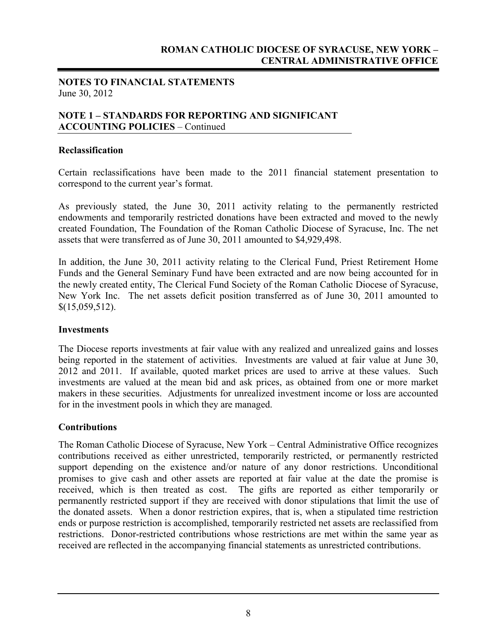#### **NOTES TO FINANCIAL STATEMENTS** June 30, 2012

#### **NOTE 1 – STANDARDS FOR REPORTING AND SIGNIFICANT ACCOUNTING POLICIES** – Continued

#### **Reclassification**

Certain reclassifications have been made to the 2011 financial statement presentation to correspond to the current year's format.

As previously stated, the June 30, 2011 activity relating to the permanently restricted endowments and temporarily restricted donations have been extracted and moved to the newly created Foundation, The Foundation of the Roman Catholic Diocese of Syracuse, Inc. The net assets that were transferred as of June 30, 2011 amounted to \$4,929,498.

In addition, the June 30, 2011 activity relating to the Clerical Fund, Priest Retirement Home Funds and the General Seminary Fund have been extracted and are now being accounted for in the newly created entity, The Clerical Fund Society of the Roman Catholic Diocese of Syracuse, New York Inc. The net assets deficit position transferred as of June 30, 2011 amounted to  $$$ (15,059,512).

#### **Investments**

The Diocese reports investments at fair value with any realized and unrealized gains and losses being reported in the statement of activities. Investments are valued at fair value at June 30, 2012 and 2011. If available, quoted market prices are used to arrive at these values. Such investments are valued at the mean bid and ask prices, as obtained from one or more market makers in these securities. Adjustments for unrealized investment income or loss are accounted for in the investment pools in which they are managed.

#### **Contributions**

The Roman Catholic Diocese of Syracuse, New York – Central Administrative Office recognizes contributions received as either unrestricted, temporarily restricted, or permanently restricted support depending on the existence and/or nature of any donor restrictions. Unconditional promises to give cash and other assets are reported at fair value at the date the promise is received, which is then treated as cost. The gifts are reported as either temporarily or permanently restricted support if they are received with donor stipulations that limit the use of the donated assets. When a donor restriction expires, that is, when a stipulated time restriction ends or purpose restriction is accomplished, temporarily restricted net assets are reclassified from restrictions. Donor-restricted contributions whose restrictions are met within the same year as received are reflected in the accompanying financial statements as unrestricted contributions.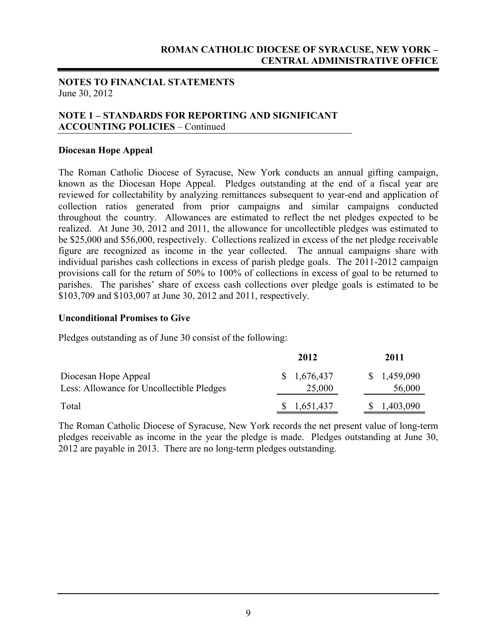#### **NOTES TO FINANCIAL STATEMENTS** June 30, 2012

#### **NOTE 1 – STANDARDS FOR REPORTING AND SIGNIFICANT ACCOUNTING POLICIES** – Continued

#### **Diocesan Hope Appeal**

The Roman Catholic Diocese of Syracuse, New York conducts an annual gifting campaign, known as the Diocesan Hope Appeal. Pledges outstanding at the end of a fiscal year are reviewed for collectability by analyzing remittances subsequent to year-end and application of collection ratios generated from prior campaigns and similar campaigns conducted throughout the country. Allowances are estimated to reflect the net pledges expected to be realized. At June 30, 2012 and 2011, the allowance for uncollectible pledges was estimated to be \$25,000 and \$56,000, respectively. Collections realized in excess of the net pledge receivable figure are recognized as income in the year collected. The annual campaigns share with individual parishes cash collections in excess of parish pledge goals. The 2011-2012 campaign provisions call for the return of 50% to 100% of collections in excess of goal to be returned to parishes. The parishes' share of excess cash collections over pledge goals is estimated to be \$103,709 and \$103,007 at June 30, 2012 and 2011, respectively.

#### **Unconditional Promises to Give**

Pledges outstanding as of June 30 consist of the following:

|                                                                   | 2012                  | 2011                  |
|-------------------------------------------------------------------|-----------------------|-----------------------|
| Diocesan Hope Appeal<br>Less: Allowance for Uncollectible Pledges | \$1,676,437<br>25,000 | \$1,459,090<br>56,000 |
| Total                                                             | 1,651,437             | 1,403,090             |

The Roman Catholic Diocese of Syracuse, New York records the net present value of long-term pledges receivable as income in the year the pledge is made. Pledges outstanding at June 30, 2012 are payable in 2013. There are no long-term pledges outstanding.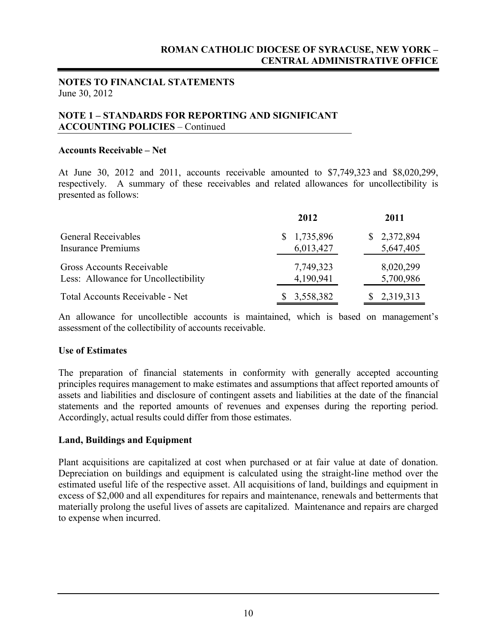#### **NOTES TO FINANCIAL STATEMENTS** June 30, 2012

#### **NOTE 1 – STANDARDS FOR REPORTING AND SIGNIFICANT ACCOUNTING POLICIES** – Continued

#### **Accounts Receivable – Net**

At June 30, 2012 and 2011, accounts receivable amounted to \$7,749,323 and \$8,020,299, respectively. A summary of these receivables and related allowances for uncollectibility is presented as follows:

|                                      | 2012        | 2011        |
|--------------------------------------|-------------|-------------|
| <b>General Receivables</b>           | \$1,735,896 | \$2,372,894 |
| <b>Insurance Premiums</b>            | 6,013,427   | 5,647,405   |
| Gross Accounts Receivable            | 7,749,323   | 8,020,299   |
| Less: Allowance for Uncollectibility | 4,190,941   | 5,700,986   |
| Total Accounts Receivable - Net      | \$3,558,382 | 2,319,313   |

An allowance for uncollectible accounts is maintained, which is based on management's assessment of the collectibility of accounts receivable.

#### **Use of Estimates**

The preparation of financial statements in conformity with generally accepted accounting principles requires management to make estimates and assumptions that affect reported amounts of assets and liabilities and disclosure of contingent assets and liabilities at the date of the financial statements and the reported amounts of revenues and expenses during the reporting period. Accordingly, actual results could differ from those estimates.

#### **Land, Buildings and Equipment**

Plant acquisitions are capitalized at cost when purchased or at fair value at date of donation. Depreciation on buildings and equipment is calculated using the straight-line method over the estimated useful life of the respective asset. All acquisitions of land, buildings and equipment in excess of \$2,000 and all expenditures for repairs and maintenance, renewals and betterments that materially prolong the useful lives of assets are capitalized. Maintenance and repairs are charged to expense when incurred.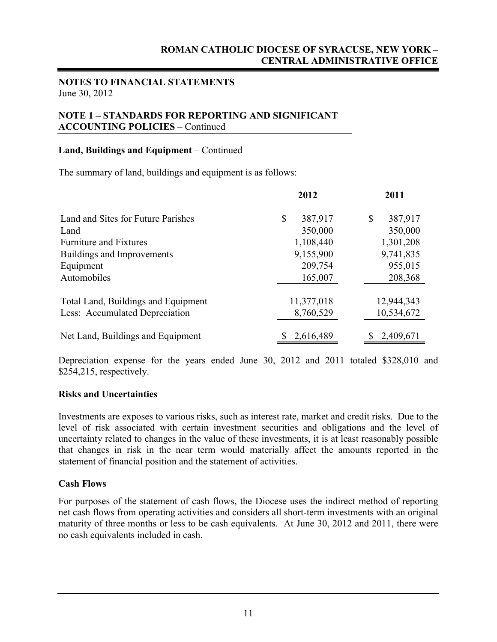#### **NOTES TO FINANCIAL STATEMENTS** June 30, 2012

#### **NOTE 1 – STANDARDS FOR REPORTING AND SIGNIFICANT ACCOUNTING POLICIES** – Continued

#### **Land, Buildings and Equipment** – Continued

The summary of land, buildings and equipment is as follows:

|                                     | 2012          | 2011          |
|-------------------------------------|---------------|---------------|
| Land and Sites for Future Parishes  | \$<br>387,917 | 387,917<br>\$ |
| Land                                | 350,000       | 350,000       |
| <b>Furniture and Fixtures</b>       | 1,108,440     | 1,301,208     |
| Buildings and Improvements          | 9,155,900     | 9,741,835     |
| Equipment                           | 209,754       | 955,015       |
| Automobiles                         | 165,007       | 208,368       |
| Total Land, Buildings and Equipment | 11,377,018    | 12,944,343    |
| Less: Accumulated Depreciation      | 8,760,529     | 10,534,672    |
| Net Land, Buildings and Equipment   | 2,616,489     | 2,409,671     |

Depreciation expense for the years ended June 30, 2012 and 2011 totaled \$328,010 and \$254,215, respectively.

#### **Risks and Uncertainties**

Investments are exposes to various risks, such as interest rate, market and credit risks. Due to the level of risk associated with certain investment securities and obligations and the level of uncertainty related to changes in the value of these investments, it is at least reasonably possible that changes in risk in the near term would materially affect the amounts reported in the statement of financial position and the statement of activities.

#### **Cash Flows**

For purposes of the statement of cash flows, the Diocese uses the indirect method of reporting net cash flows from operating activities and considers all short-term investments with an original maturity of three months or less to be cash equivalents. At June 30, 2012 and 2011, there were no cash equivalents included in cash.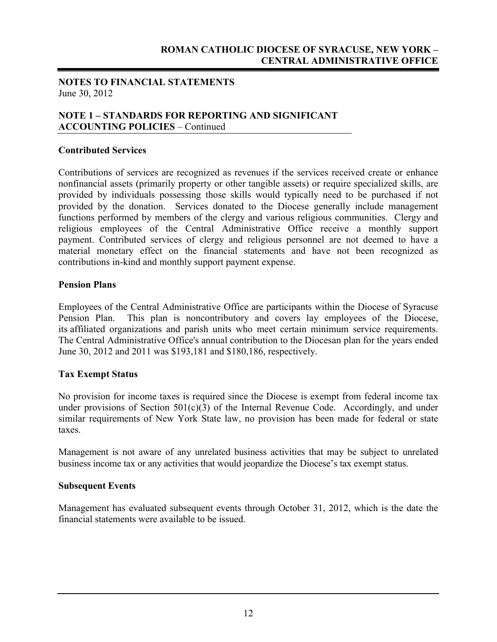#### **NOTES TO FINANCIAL STATEMENTS** June 30, 2012

#### **NOTE 1 – STANDARDS FOR REPORTING AND SIGNIFICANT ACCOUNTING POLICIES** – Continued

#### **Contributed Services**

Contributions of services are recognized as revenues if the services received create or enhance nonfinancial assets (primarily property or other tangible assets) or require specialized skills, are provided by individuals possessing those skills would typically need to be purchased if not provided by the donation. Services donated to the Diocese generally include management functions performed by members of the clergy and various religious communities. Clergy and religious employees of the Central Administrative Office receive a monthly support payment. Contributed services of clergy and religious personnel are not deemed to have a material monetary effect on the financial statements and have not been recognized as contributions in-kind and monthly support payment expense.

#### **Pension Plans**

Employees of the Central Administrative Office are participants within the Diocese of Syracuse Pension Plan. This plan is noncontributory and covers lay employees of the Diocese, its affiliated organizations and parish units who meet certain minimum service requirements. The Central Administrative Office's annual contribution to the Diocesan plan for the years ended June 30, 2012 and 2011 was \$193,181 and \$180,186, respectively.

#### **Tax Exempt Status**

No provision for income taxes is required since the Diocese is exempt from federal income tax under provisions of Section  $501(c)(3)$  of the Internal Revenue Code. Accordingly, and under similar requirements of New York State law, no provision has been made for federal or state taxes.

Management is not aware of any unrelated business activities that may be subject to unrelated business income tax or any activities that would jeopardize the Diocese's tax exempt status.

#### **Subsequent Events**

Management has evaluated subsequent events through October 31, 2012, which is the date the financial statements were available to be issued.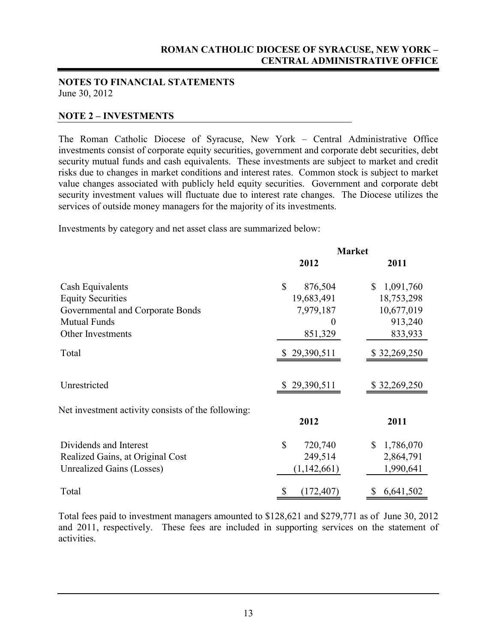#### **NOTES TO FINANCIAL STATEMENTS** June 30, 2012

#### **NOTE 2 – INVESTMENTS**

The Roman Catholic Diocese of Syracuse, New York – Central Administrative Office investments consist of corporate equity securities, government and corporate debt securities, debt security mutual funds and cash equivalents. These investments are subject to market and credit risks due to changes in market conditions and interest rates. Common stock is subject to market value changes associated with publicly held equity securities. Government and corporate debt security investment values will fluctuate due to interest rate changes. The Diocese utilizes the services of outside money managers for the majority of its investments.

Investments by category and net asset class are summarized below:

|                                                    | <b>Market</b>           |                           |  |
|----------------------------------------------------|-------------------------|---------------------------|--|
|                                                    | 2012                    | 2011                      |  |
| Cash Equivalents                                   | $\mathbb{S}$<br>876,504 | $\mathbb{S}$<br>1,091,760 |  |
| <b>Equity Securities</b>                           | 19,683,491              | 18,753,298                |  |
| Governmental and Corporate Bonds                   | 7,979,187               | 10,677,019                |  |
| <b>Mutual Funds</b>                                | $\theta$                | 913,240                   |  |
| Other Investments                                  | 851,329                 | 833,933                   |  |
| Total                                              | \$29,390,511            | \$32,269,250              |  |
| Unrestricted                                       | \$29,390,511            | \$32,269,250              |  |
| Net investment activity consists of the following: | 2012                    | 2011                      |  |
|                                                    |                         |                           |  |
| Dividends and Interest                             | $\mathbb{S}$<br>720,740 | 1,786,070<br>\$           |  |
| Realized Gains, at Original Cost                   | 249,514                 | 2,864,791                 |  |
| <b>Unrealized Gains (Losses)</b>                   | (1,142,661)             | 1,990,641                 |  |
| Total                                              | \$<br>(172, 407)        | 6,641,502<br>\$           |  |

Total fees paid to investment managers amounted to \$128,621 and \$279,771 as of June 30, 2012 and 2011, respectively. These fees are included in supporting services on the statement of activities.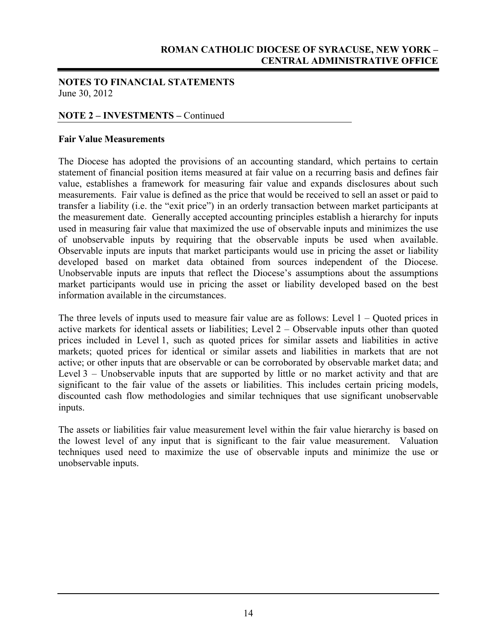#### **NOTES TO FINANCIAL STATEMENTS** June 30, 2012

#### **NOTE 2 – INVESTMENTS –** Continued

#### **Fair Value Measurements**

The Diocese has adopted the provisions of an accounting standard, which pertains to certain statement of financial position items measured at fair value on a recurring basis and defines fair value, establishes a framework for measuring fair value and expands disclosures about such measurements. Fair value is defined as the price that would be received to sell an asset or paid to transfer a liability (i.e. the "exit price") in an orderly transaction between market participants at the measurement date. Generally accepted accounting principles establish a hierarchy for inputs used in measuring fair value that maximized the use of observable inputs and minimizes the use of unobservable inputs by requiring that the observable inputs be used when available. Observable inputs are inputs that market participants would use in pricing the asset or liability developed based on market data obtained from sources independent of the Diocese. Unobservable inputs are inputs that reflect the Diocese's assumptions about the assumptions market participants would use in pricing the asset or liability developed based on the best information available in the circumstances.

The three levels of inputs used to measure fair value are as follows: Level 1 – Quoted prices in active markets for identical assets or liabilities; Level 2 – Observable inputs other than quoted prices included in Level 1, such as quoted prices for similar assets and liabilities in active markets; quoted prices for identical or similar assets and liabilities in markets that are not active; or other inputs that are observable or can be corroborated by observable market data; and Level 3 – Unobservable inputs that are supported by little or no market activity and that are significant to the fair value of the assets or liabilities. This includes certain pricing models, discounted cash flow methodologies and similar techniques that use significant unobservable inputs.

The assets or liabilities fair value measurement level within the fair value hierarchy is based on the lowest level of any input that is significant to the fair value measurement. Valuation techniques used need to maximize the use of observable inputs and minimize the use or unobservable inputs.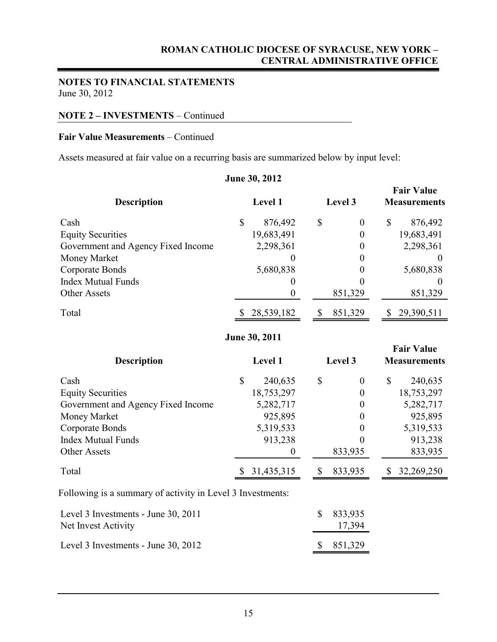#### **NOTES TO FINANCIAL STATEMENTS** June 30, 2012

#### **NOTE 2 – INVESTMENTS** – Continued

#### **Fair Value Measurements** – Continued

Assets measured at fair value on a recurring basis are summarized below by input level:

| June 30, 2012                                              |              |                  |              |                   |              |                                          |
|------------------------------------------------------------|--------------|------------------|--------------|-------------------|--------------|------------------------------------------|
| <b>Description</b>                                         |              | Level 1          |              | Level 3           |              | <b>Fair Value</b><br><b>Measurements</b> |
| Cash                                                       | $\mathbb{S}$ | 876,492          | \$           | $\boldsymbol{0}$  | \$           | 876,492                                  |
| <b>Equity Securities</b>                                   |              | 19,683,491       |              | $\boldsymbol{0}$  |              | 19,683,491                               |
| Government and Agency Fixed Income                         |              | 2,298,361        |              | $\boldsymbol{0}$  |              | 2,298,361                                |
| Money Market                                               |              | $\theta$         |              | $\theta$          |              | $\Omega$                                 |
| Corporate Bonds                                            |              | 5,680,838        |              | $\theta$          |              | 5,680,838                                |
| <b>Index Mutual Funds</b>                                  |              | $\theta$         |              | $\theta$          |              |                                          |
| <b>Other Assets</b>                                        |              | $\boldsymbol{0}$ |              | 851,329           |              | 851,329                                  |
| Total                                                      |              | 28,539,182       | \$           | 851,329           |              | 29,390,511                               |
|                                                            |              | June 30, 2011    |              |                   |              |                                          |
|                                                            |              |                  |              |                   |              | <b>Fair Value</b>                        |
| <b>Description</b>                                         |              | Level 1          |              | Level 3           |              | <b>Measurements</b>                      |
| Cash                                                       | $\mathbb{S}$ | 240,635          | \$           | $\theta$          | $\mathbb{S}$ | 240,635                                  |
| <b>Equity Securities</b>                                   |              | 18,753,297       |              | $\boldsymbol{0}$  |              | 18,753,297                               |
| Government and Agency Fixed Income                         |              | 5,282,717        |              | $\boldsymbol{0}$  |              | 5,282,717                                |
| Money Market                                               |              | 925,895          |              | $\theta$          |              | 925,895                                  |
| Corporate Bonds                                            |              | 5,319,533        |              | $\theta$          |              | 5,319,533                                |
| <b>Index Mutual Funds</b>                                  |              | 913,238          |              | $\overline{0}$    |              | 913,238                                  |
| <b>Other Assets</b>                                        |              | $\overline{0}$   |              | 833,935           |              | 833,935                                  |
| Total                                                      |              | 31,435,315       | \$           | 833,935           | $\mathbb{S}$ | 32,269,250                               |
| Following is a summary of activity in Level 3 Investments: |              |                  |              |                   |              |                                          |
| Level 3 Investments - June 30, 2011<br>Net Invest Activity |              |                  | $\mathbb{S}$ | 833,935<br>17,394 |              |                                          |
| Level 3 Investments - June 30, 2012                        |              |                  | \$           | 851,329           |              |                                          |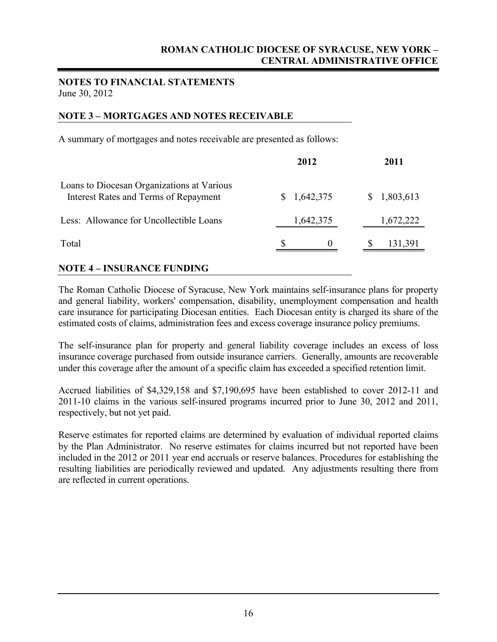#### **NOTES TO FINANCIAL STATEMENTS** June 30, 2012

#### **NOTE 3 – MORTGAGES AND NOTES RECEIVABLE**

A summary of mortgages and notes receivable are presented as follows:

|                                                                                     | 2012      | 2011      |
|-------------------------------------------------------------------------------------|-----------|-----------|
| Loans to Diocesan Organizations at Various<br>Interest Rates and Terms of Repayment | 1,642,375 | 1,803,613 |
| Less: Allowance for Uncollectible Loans                                             | 1,642,375 | 1,672,222 |
| Total                                                                               | $\theta$  | 131,391   |

#### **NOTE 4 – INSURANCE FUNDING**

The Roman Catholic Diocese of Syracuse, New York maintains self-insurance plans for property and general liability, workers' compensation, disability, unemployment compensation and health care insurance for participating Diocesan entities. Each Diocesan entity is charged its share of the estimated costs of claims, administration fees and excess coverage insurance policy premiums.

The self-insurance plan for property and general liability coverage includes an excess of loss insurance coverage purchased from outside insurance carriers. Generally, amounts are recoverable under this coverage after the amount of a specific claim has exceeded a specified retention limit.

Accrued liabilities of \$4,329,158 and \$7,190,695 have been established to cover 2012-11 and 2011-10 claims in the various self-insured programs incurred prior to June 30, 2012 and 2011, respectively, but not yet paid.

Reserve estimates for reported claims are determined by evaluation of individual reported claims by the Plan Administrator. No reserve estimates for claims incurred but not reported have been included in the 2012 or 2011 year end accruals or reserve balances. Procedures for establishing the resulting liabilities are periodically reviewed and updated. Any adjustments resulting there from are reflected in current operations.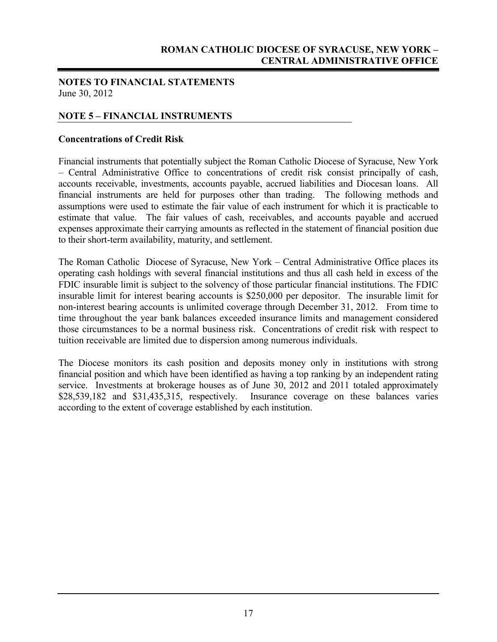#### **NOTES TO FINANCIAL STATEMENTS** June 30, 2012

#### **NOTE 5 – FINANCIAL INSTRUMENTS**

#### **Concentrations of Credit Risk**

Financial instruments that potentially subject the Roman Catholic Diocese of Syracuse, New York – Central Administrative Office to concentrations of credit risk consist principally of cash, accounts receivable, investments, accounts payable, accrued liabilities and Diocesan loans. All financial instruments are held for purposes other than trading. The following methods and assumptions were used to estimate the fair value of each instrument for which it is practicable to estimate that value. The fair values of cash, receivables, and accounts payable and accrued expenses approximate their carrying amounts as reflected in the statement of financial position due to their short-term availability, maturity, and settlement.

The Roman Catholic Diocese of Syracuse, New York – Central Administrative Office places its operating cash holdings with several financial institutions and thus all cash held in excess of the FDIC insurable limit is subject to the solvency of those particular financial institutions. The FDIC insurable limit for interest bearing accounts is \$250,000 per depositor. The insurable limit for non-interest bearing accounts is unlimited coverage through December 31, 2012. From time to time throughout the year bank balances exceeded insurance limits and management considered those circumstances to be a normal business risk. Concentrations of credit risk with respect to tuition receivable are limited due to dispersion among numerous individuals.

The Diocese monitors its cash position and deposits money only in institutions with strong financial position and which have been identified as having a top ranking by an independent rating service. Investments at brokerage houses as of June 30, 2012 and 2011 totaled approximately \$28,539,182 and \$31,435,315, respectively. Insurance coverage on these balances varies according to the extent of coverage established by each institution.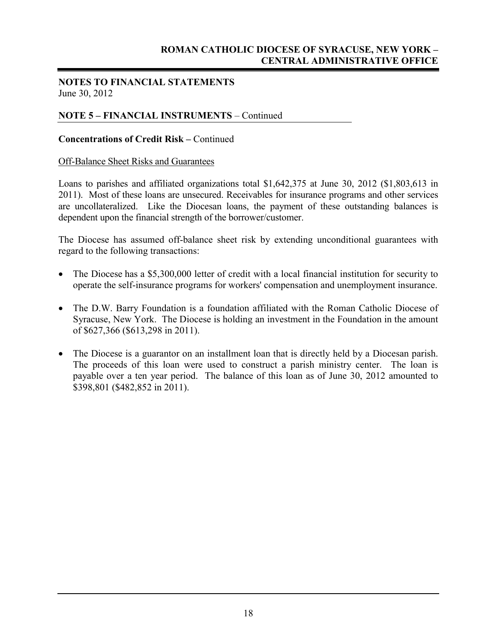#### **NOTES TO FINANCIAL STATEMENTS** June 30, 2012

#### **NOTE 5 – FINANCIAL INSTRUMENTS** – Continued

#### **Concentrations of Credit Risk –** Continued

#### Off-Balance Sheet Risks and Guarantees

Loans to parishes and affiliated organizations total \$1,642,375 at June 30, 2012 (\$1,803,613 in 2011). Most of these loans are unsecured. Receivables for insurance programs and other services are uncollateralized. Like the Diocesan loans, the payment of these outstanding balances is dependent upon the financial strength of the borrower/customer.

The Diocese has assumed off-balance sheet risk by extending unconditional guarantees with regard to the following transactions:

- The Diocese has a \$5,300,000 letter of credit with a local financial institution for security to operate the self-insurance programs for workers' compensation and unemployment insurance.
- The D.W. Barry Foundation is a foundation affiliated with the Roman Catholic Diocese of Syracuse, New York. The Diocese is holding an investment in the Foundation in the amount of \$627,366 (\$613,298 in 2011).
- The Diocese is a guarantor on an installment loan that is directly held by a Diocesan parish. The proceeds of this loan were used to construct a parish ministry center. The loan is payable over a ten year period. The balance of this loan as of June 30, 2012 amounted to \$398,801 (\$482,852 in 2011).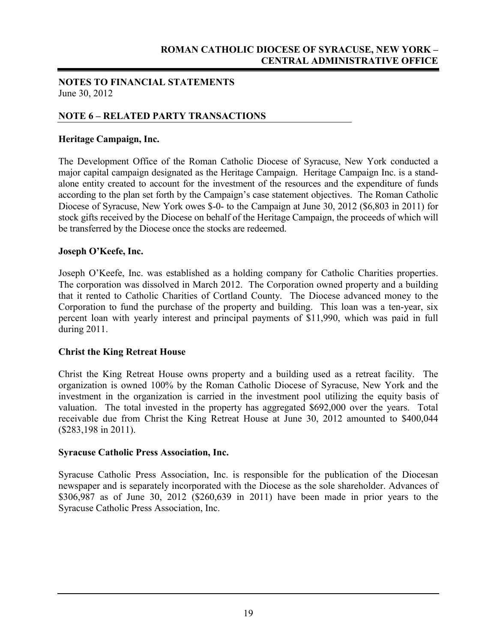#### **NOTES TO FINANCIAL STATEMENTS** June 30, 2012

#### **NOTE 6 – RELATED PARTY TRANSACTIONS**

#### **Heritage Campaign, Inc.**

The Development Office of the Roman Catholic Diocese of Syracuse, New York conducted a major capital campaign designated as the Heritage Campaign. Heritage Campaign Inc. is a standalone entity created to account for the investment of the resources and the expenditure of funds according to the plan set forth by the Campaign's case statement objectives. The Roman Catholic Diocese of Syracuse, New York owes \$-0- to the Campaign at June 30, 2012 (\$6,803 in 2011) for stock gifts received by the Diocese on behalf of the Heritage Campaign, the proceeds of which will be transferred by the Diocese once the stocks are redeemed.

#### **Joseph O'Keefe, Inc.**

Joseph O'Keefe, Inc. was established as a holding company for Catholic Charities properties. The corporation was dissolved in March 2012. The Corporation owned property and a building that it rented to Catholic Charities of Cortland County. The Diocese advanced money to the Corporation to fund the purchase of the property and building. This loan was a ten-year, six percent loan with yearly interest and principal payments of \$11,990, which was paid in full during 2011.

#### **Christ the King Retreat House**

Christ the King Retreat House owns property and a building used as a retreat facility. The organization is owned 100% by the Roman Catholic Diocese of Syracuse, New York and the investment in the organization is carried in the investment pool utilizing the equity basis of valuation. The total invested in the property has aggregated \$692,000 over the years. Total receivable due from Christ the King Retreat House at June 30, 2012 amounted to \$400,044 (\$283,198 in 2011).

#### **Syracuse Catholic Press Association, Inc.**

Syracuse Catholic Press Association, Inc. is responsible for the publication of the Diocesan newspaper and is separately incorporated with the Diocese as the sole shareholder. Advances of \$306,987 as of June 30, 2012 (\$260,639 in 2011) have been made in prior years to the Syracuse Catholic Press Association, Inc.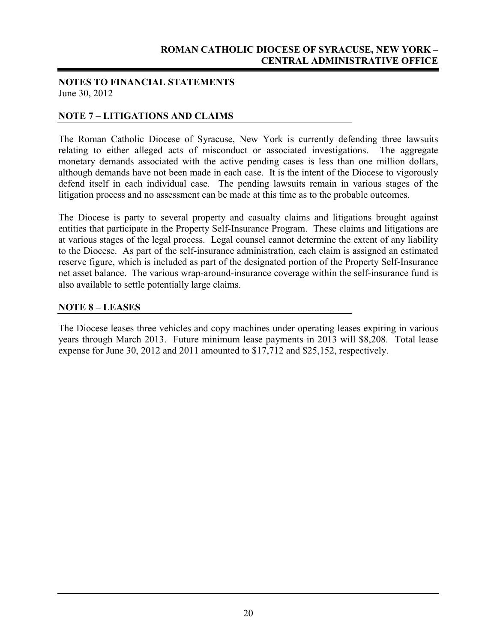#### **NOTES TO FINANCIAL STATEMENTS** June 30, 2012

#### **NOTE 7 – LITIGATIONS AND CLAIMS**

The Roman Catholic Diocese of Syracuse, New York is currently defending three lawsuits relating to either alleged acts of misconduct or associated investigations. The aggregate monetary demands associated with the active pending cases is less than one million dollars, although demands have not been made in each case. It is the intent of the Diocese to vigorously defend itself in each individual case. The pending lawsuits remain in various stages of the litigation process and no assessment can be made at this time as to the probable outcomes.

The Diocese is party to several property and casualty claims and litigations brought against entities that participate in the Property Self-Insurance Program. These claims and litigations are at various stages of the legal process. Legal counsel cannot determine the extent of any liability to the Diocese. As part of the self-insurance administration, each claim is assigned an estimated reserve figure, which is included as part of the designated portion of the Property Self-Insurance net asset balance. The various wrap-around-insurance coverage within the self-insurance fund is also available to settle potentially large claims.

#### **NOTE 8 – LEASES**

The Diocese leases three vehicles and copy machines under operating leases expiring in various years through March 2013. Future minimum lease payments in 2013 will \$8,208. Total lease expense for June 30, 2012 and 2011 amounted to \$17,712 and \$25,152, respectively.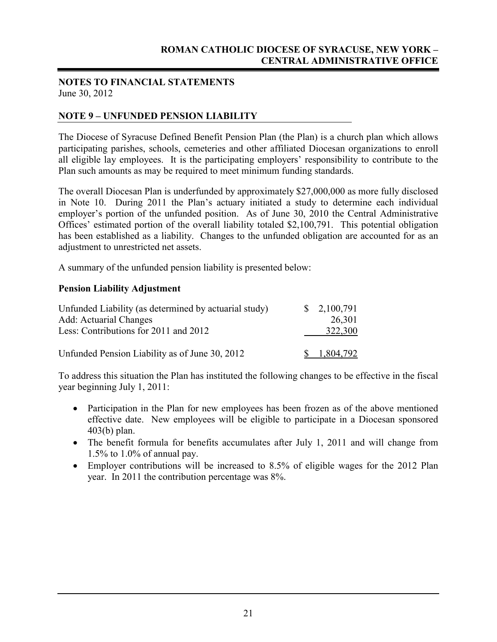#### **NOTES TO FINANCIAL STATEMENTS** June 30, 2012

#### **NOTE 9 – UNFUNDED PENSION LIABILITY**

The Diocese of Syracuse Defined Benefit Pension Plan (the Plan) is a church plan which allows participating parishes, schools, cemeteries and other affiliated Diocesan organizations to enroll all eligible lay employees. It is the participating employers' responsibility to contribute to the Plan such amounts as may be required to meet minimum funding standards.

The overall Diocesan Plan is underfunded by approximately \$27,000,000 as more fully disclosed in Note 10. During 2011 the Plan's actuary initiated a study to determine each individual employer's portion of the unfunded position. As of June 30, 2010 the Central Administrative Offices' estimated portion of the overall liability totaled \$2,100,791. This potential obligation has been established as a liability. Changes to the unfunded obligation are accounted for as an adjustment to unrestricted net assets.

A summary of the unfunded pension liability is presented below:

#### **Pension Liability Adjustment**

| Unfunded Liability (as determined by actuarial study) | $\frac{$}{2,100,791}$ |
|-------------------------------------------------------|-----------------------|
| <b>Add: Actuarial Changes</b>                         | 26,301                |
| Less: Contributions for 2011 and 2012                 | 322,300               |
| Unfunded Pension Liability as of June 30, 2012        | 1,804,792             |

To address this situation the Plan has instituted the following changes to be effective in the fiscal year beginning July 1, 2011:

- Participation in the Plan for new employees has been frozen as of the above mentioned effective date. New employees will be eligible to participate in a Diocesan sponsored 403(b) plan.
- The benefit formula for benefits accumulates after July 1, 2011 and will change from 1.5% to 1.0% of annual pay.
- Employer contributions will be increased to 8.5% of eligible wages for the 2012 Plan year. In 2011 the contribution percentage was 8%.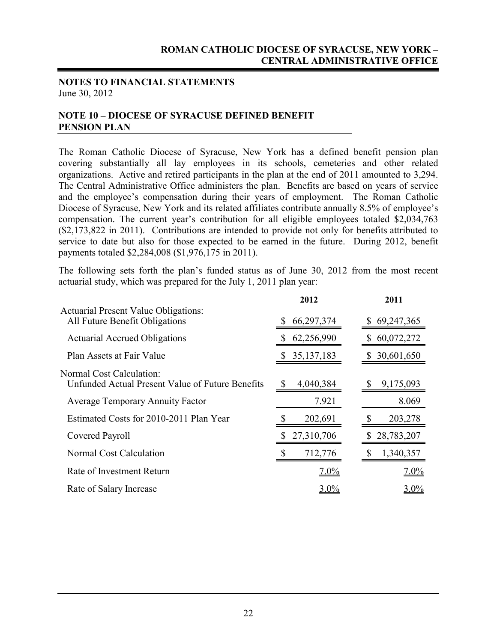#### **NOTES TO FINANCIAL STATEMENTS** June 30, 2012

#### **NOTE 10 – DIOCESE OF SYRACUSE DEFINED BENEFIT PENSION PLAN**

The Roman Catholic Diocese of Syracuse, New York has a defined benefit pension plan covering substantially all lay employees in its schools, cemeteries and other related organizations. Active and retired participants in the plan at the end of 2011 amounted to 3,294. The Central Administrative Office administers the plan. Benefits are based on years of service and the employee's compensation during their years of employment. The Roman Catholic Diocese of Syracuse, New York and its related affiliates contribute annually 8.5% of employee's compensation. The current year's contribution for all eligible employees totaled \$2,034,763 (\$2,173,822 in 2011). Contributions are intended to provide not only for benefits attributed to service to date but also for those expected to be earned in the future. During 2012, benefit payments totaled \$2,284,008 (\$1,976,175 in 2011).

The following sets forth the plan's funded status as of June 30, 2012 from the most recent actuarial study, which was prepared for the July 1, 2011 plan year:

|                                                                               | 2012              | 2011            |
|-------------------------------------------------------------------------------|-------------------|-----------------|
| <b>Actuarial Present Value Obligations:</b><br>All Future Benefit Obligations | 66,297,374<br>S   | 69,247,365      |
| <b>Actuarial Accrued Obligations</b>                                          | 62,256,990        | 60,072,272      |
| Plan Assets at Fair Value                                                     | 35, 137, 183<br>S | 30,601,650<br>S |
| Normal Cost Calculation:<br>Unfunded Actual Present Value of Future Benefits  | 4,040,384         | 9,175,093       |
| <b>Average Temporary Annuity Factor</b>                                       | 7.921             | 8.069           |
| Estimated Costs for 2010-2011 Plan Year                                       | 202,691           | 203,278         |
| Covered Payroll                                                               | 27,310,706        | 28,783,207      |
| Normal Cost Calculation                                                       | 712,776           | 1,340,357       |
| Rate of Investment Return                                                     | 7.0%              | 7.0%            |
| Rate of Salary Increase                                                       | 3.0%              | $3.0\%$         |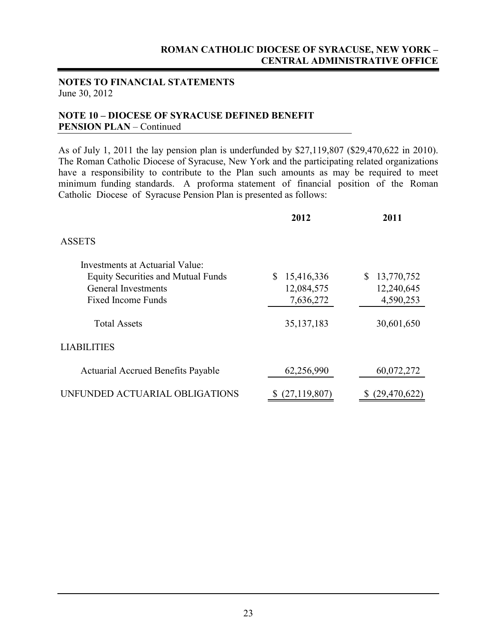#### **NOTES TO FINANCIAL STATEMENTS** June 30, 2012

#### **NOTE 10 – DIOCESE OF SYRACUSE DEFINED BENEFIT PENSION PLAN** – Continued

As of July 1, 2011 the lay pension plan is underfunded by \$27,119,807 (\$29,470,622 in 2010). The Roman Catholic Diocese of Syracuse, New York and the participating related organizations have a responsibility to contribute to the Plan such amounts as may be required to meet minimum funding standards. A proforma statement of financial position of the Roman Catholic Diocese of Syracuse Pension Plan is presented as follows:

|                                           | 2012             | 2011                 |  |  |
|-------------------------------------------|------------------|----------------------|--|--|
| <b>ASSETS</b>                             |                  |                      |  |  |
| Investments at Actuarial Value:           |                  |                      |  |  |
| <b>Equity Securities and Mutual Funds</b> | S.<br>15,416,336 | 13,770,752<br>S      |  |  |
| General Investments                       | 12,084,575       | 12,240,645           |  |  |
| <b>Fixed Income Funds</b>                 | 7,636,272        | 4,590,253            |  |  |
| <b>Total Assets</b>                       | 35, 137, 183     | 30,601,650           |  |  |
| <b>LIABILITIES</b>                        |                  |                      |  |  |
| <b>Actuarial Accrued Benefits Payable</b> | 62,256,990       | 60,072,272           |  |  |
| UNFUNDED ACTUARIAL OBLIGATIONS            | (27, 119, 807)   | (29, 470, 622)<br>\$ |  |  |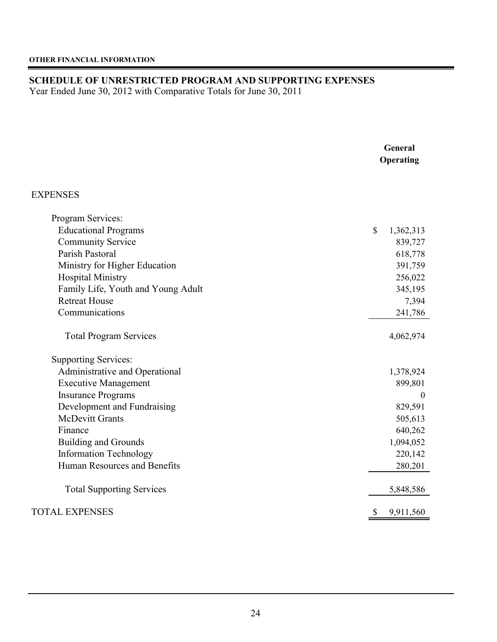## **SCHEDULE OF UNRESTRICTED PROGRAM AND SUPPORTING EXPENSES**

Year Ended June 30, 2012 with Comparative Totals for June 30, 2011

|                                    | General<br>Operating      |  |  |  |
|------------------------------------|---------------------------|--|--|--|
| <b>EXPENSES</b>                    |                           |  |  |  |
| Program Services:                  |                           |  |  |  |
| <b>Educational Programs</b>        | $\mathbb{S}$<br>1,362,313 |  |  |  |
| <b>Community Service</b>           | 839,727                   |  |  |  |
| Parish Pastoral                    | 618,778                   |  |  |  |
| Ministry for Higher Education      | 391,759                   |  |  |  |
| <b>Hospital Ministry</b>           | 256,022                   |  |  |  |
| Family Life, Youth and Young Adult | 345,195                   |  |  |  |
| <b>Retreat House</b>               | 7,394                     |  |  |  |
| Communications                     | 241,786                   |  |  |  |
| <b>Total Program Services</b>      | 4,062,974                 |  |  |  |
| <b>Supporting Services:</b>        |                           |  |  |  |
| Administrative and Operational     | 1,378,924                 |  |  |  |
| <b>Executive Management</b>        | 899,801                   |  |  |  |
| <b>Insurance Programs</b>          | $\mathbf{0}$              |  |  |  |
| Development and Fundraising        | 829,591                   |  |  |  |
| <b>McDevitt Grants</b>             | 505,613                   |  |  |  |
| Finance                            | 640,262                   |  |  |  |
| <b>Building and Grounds</b>        | 1,094,052                 |  |  |  |
| <b>Information Technology</b>      | 220,142                   |  |  |  |
| Human Resources and Benefits       | 280,201                   |  |  |  |
| <b>Total Supporting Services</b>   | 5,848,586                 |  |  |  |
| <b>TOTAL EXPENSES</b>              | 9,911,560                 |  |  |  |